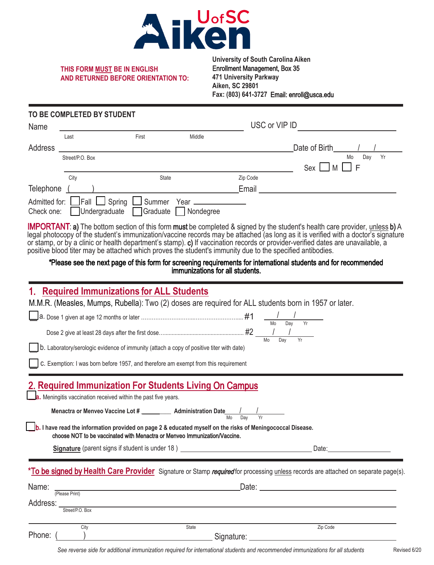

#### **THIS FORM MUST BE IN ENGLISH AND RETURNED BEFORE ORIENTATION TO:**

#### **University of South Carolina Aiken** Enrollment Management, Box 35 **471 University Parkway Aiken, SC 29801 Fax: (803) 641-3727** Email: enroll@usca.edu

### **TO BE COMPLETED BY STUDENT**

| Name       |                                            |                                              |           |          | USC or VIP ID   |  |  |  |
|------------|--------------------------------------------|----------------------------------------------|-----------|----------|-----------------|--|--|--|
|            | Last                                       | First                                        | Middle    |          |                 |  |  |  |
| Address    |                                            |                                              |           |          | Date of Birth   |  |  |  |
|            | Street/P.O. Box                            |                                              |           |          | Yr<br>Day<br>Mo |  |  |  |
|            |                                            |                                              |           |          | Sex<br>l F      |  |  |  |
|            | City                                       | State                                        |           | Zip Code |                 |  |  |  |
| Telephone  |                                            |                                              |           | Email    |                 |  |  |  |
| Check one: | Admitted for: Fall Spring<br>Undergraduate | Summer Year _____________<br><b>Sraduate</b> | Nondegree |          |                 |  |  |  |

IMPORTANT: a) The bottom section of this form must be completed & signed by the student's health care provider, unless b) A legal photocopy of the student's immunization/vaccine records may be attached (as long as it is verified with a doctor's signature or stamp, or by a clinic or health department's stamp). c) If vaccination records or provider-verified dates are unavailable, a positive blood titer may be attached which proves the student's immunity due to the specified antibodies.

#### \*Please see the next page of this form for screening requirements for international students and for recommended immunizations for all students.

### 1. **Required Immunizations** f**or ALL Students**

M.M.R. (Measles, Mumps, Rubella): Two (2) doses are required for ALL students born in 1957 or later.

|                                                                                                                                                                                         |                                                                                  |            | Yr<br>Mo<br>Dav |                                                                                                                                                                                |  |  |  |
|-----------------------------------------------------------------------------------------------------------------------------------------------------------------------------------------|----------------------------------------------------------------------------------|------------|-----------------|--------------------------------------------------------------------------------------------------------------------------------------------------------------------------------|--|--|--|
| b. Laboratory/serologic evidence of immunity (attach a copy of positive titer with date)                                                                                                |                                                                                  |            | Dav             |                                                                                                                                                                                |  |  |  |
| C. Exemption: I was born before 1957, and therefore am exempt from this requirement                                                                                                     |                                                                                  |            |                 |                                                                                                                                                                                |  |  |  |
| 2. Required Immunization For Students Living On Campus                                                                                                                                  |                                                                                  |            |                 |                                                                                                                                                                                |  |  |  |
| a. Meningitis vaccination received within the past five years.                                                                                                                          |                                                                                  |            |                 |                                                                                                                                                                                |  |  |  |
| Menactra or Menveo Vaccine Lot # ____________ Administration Date ________                                                                                                              |                                                                                  |            |                 |                                                                                                                                                                                |  |  |  |
| b. I have read the information provided on page 2 & educated myself on the risks of Meningococcal Disease.<br>choose NOT to be vaccinated with Menactra or Menyeo Immunization/Vaccine. |                                                                                  |            |                 |                                                                                                                                                                                |  |  |  |
|                                                                                                                                                                                         | Signature (parent signs if student is under 18) ________________________________ |            |                 | Date: <b>Date: Date: Date: Date: Date: Date: Date: Date: Date: Date: Date: Date: Date: Date: Date: Date: Date: Date: Date: Date: Date: Date: Date: Date: Date: Date: Date:</b> |  |  |  |
| *To be signed by Health Care Provider Signature or Stamp required for processing unless records are attached on separate page(s).                                                       |                                                                                  |            |                 |                                                                                                                                                                                |  |  |  |
| Name:<br>(Please Print)                                                                                                                                                                 | <u> 1989 - Andrea Brand, amerikansk politik (</u>                                |            |                 |                                                                                                                                                                                |  |  |  |
| Address: _________<br>Street/P.O. Box                                                                                                                                                   |                                                                                  |            |                 |                                                                                                                                                                                |  |  |  |
| City<br>Phone: (                                                                                                                                                                        | State                                                                            |            |                 | Zip Code                                                                                                                                                                       |  |  |  |
|                                                                                                                                                                                         |                                                                                  | Signature: |                 |                                                                                                                                                                                |  |  |  |